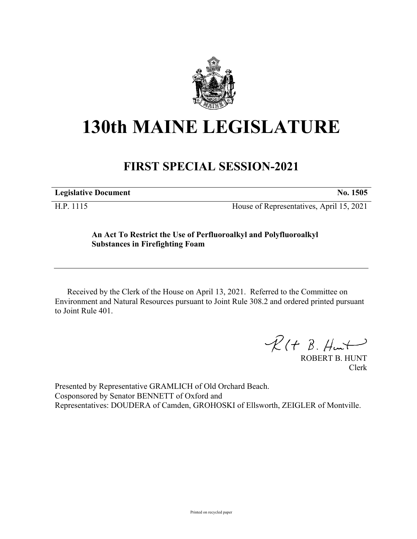

## **130th MAINE LEGISLATURE**

## **FIRST SPECIAL SESSION-2021**

| <b>Legislative Document</b> | No. 1505                                 |
|-----------------------------|------------------------------------------|
| H.P. 1115                   | House of Representatives, April 15, 2021 |

**An Act To Restrict the Use of Perfluoroalkyl and Polyfluoroalkyl Substances in Firefighting Foam**

Received by the Clerk of the House on April 13, 2021. Referred to the Committee on Environment and Natural Resources pursuant to Joint Rule 308.2 and ordered printed pursuant to Joint Rule 401.

 $R(H B. H<sub>un</sub>)$ 

ROBERT B. HUNT Clerk

Presented by Representative GRAMLICH of Old Orchard Beach. Cosponsored by Senator BENNETT of Oxford and Representatives: DOUDERA of Camden, GROHOSKI of Ellsworth, ZEIGLER of Montville.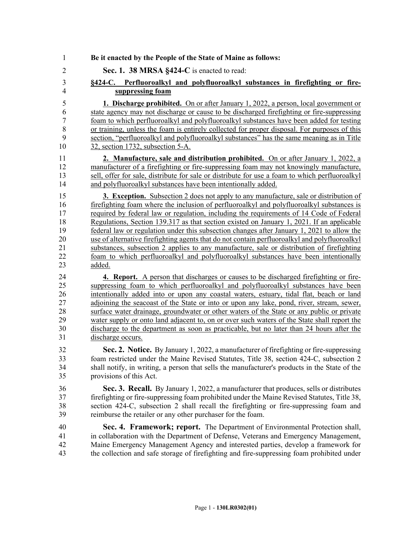1 **Be it enacted by the People of the State of Maine as follows:** 2 **Sec. 1. 38 MRSA §424-C** is enacted to read: 3 **§424-C. Perfluoroalkyl and polyfluoroalkyl substances in firefighting or fire-**4 **suppressing foam** 5 **1. Discharge prohibited.** On or after January 1, 2022, a person, local government or 6 state agency may not discharge or cause to be discharged firefighting or fire-suppressing 7 foam to which perfluoroalkyl and polyfluoroalkyl substances have been added for testing 8 or training, unless the foam is entirely collected for proper disposal. For purposes of this 9 section, "perfluoroalkyl and polyfluoroalkyl substances" has the same meaning as in Title 10 32, section 1732, subsection 5-A. 11 **2. Manufacture, sale and distribution prohibited.** On or after January 1, 2022, a 12 manufacturer of a firefighting or fire-suppressing foam may not knowingly manufacture, 13 sell, offer for sale, distribute for sale or distribute for use a foam to which perfluoroalkyl 14 and polyfluoroalkyl substances have been intentionally added. 15 **3. Exception.** Subsection 2 does not apply to any manufacture, sale or distribution of 16 firefighting foam where the inclusion of perfluoroalkyl and polyfluoroalkyl substances is 17 required by federal law or regulation, including the requirements of 14 Code of Federal 18 Regulations, Section 139.317 as that section existed on January 1, 2021. If an applicable 19 federal law or regulation under this subsection changes after January 1, 2021 to allow the 20 use of alternative firefighting agents that do not contain perfluoroalkyl and polyfluoroalkyl<br>21 ushstances, subsection 2 applies to any manufacture, sale or distribution of firefighting substances, subsection 2 applies to any manufacture, sale or distribution of firefighting 22 foam to which perfluoroalkyl and polyfluoroalkyl substances have been intentionally 23 added. 24 **4. Report.** A person that discharges or causes to be discharged firefighting or fire-25 suppressing foam to which perfluoroalkyl and polyfluoroalkyl substances have been 26 intentionally added into or upon any coastal waters, estuary, tidal flat, beach or land 27 adjoining the seacoast of the State or into or upon any lake, pond, river, stream, sewer, 28 surface water drainage, groundwater or other waters of the State or any public or private 29 water supply or onto land adjacent to, on or over such waters of the State shall report the 30 discharge to the department as soon as practicable, but no later than 24 hours after the 31 discharge occurs. 32 **Sec. 2. Notice.** By January 1, 2022, a manufacturer of firefighting or fire-suppressing 33 foam restricted under the Maine Revised Statutes, Title 38, section 424-C, subsection 2 34 shall notify, in writing, a person that sells the manufacturer's products in the State of the 35 provisions of this Act. 36 **Sec. 3. Recall.** By January 1, 2022, a manufacturer that produces, sells or distributes 37 firefighting or fire-suppressing foam prohibited under the Maine Revised Statutes, Title 38, section 424-C, subsection 2 shall recall the firefighting or fire-suppressing foam and section 424-C, subsection 2 shall recall the firefighting or fire-suppressing foam and 39 reimburse the retailer or any other purchaser for the foam. 40 **Sec. 4. Framework; report.** The Department of Environmental Protection shall, 41 in collaboration with the Department of Defense, Veterans and Emergency Management, 42 Maine Emergency Management Agency and interested parties, develop a framework for 43 the collection and safe storage of firefighting and fire-suppressing foam prohibited under